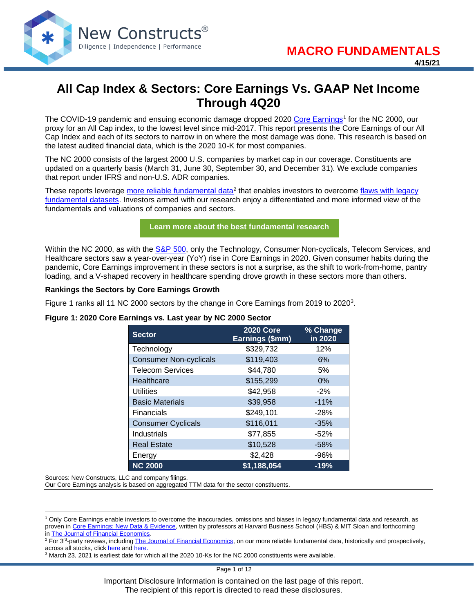

# **All Cap Index & Sectors: Core Earnings Vs. GAAP Net Income Through 4Q20**

The COVID-19 pandemic and ensuing economic damage dropped 2020 [Core Earnings](https://www.newconstructs.com/education-core-earnings-earnings-distortion/)<sup>1</sup> for the NC 2000, our proxy for an All Cap index, to the lowest level since mid-2017. This report presents the Core Earnings of our All Cap Index and each of its sectors to narrow in on where the most damage was done. This research is based on the latest audited financial data, which is the 2020 10-K for most companies.

The NC 2000 consists of the largest 2000 U.S. companies by market cap in our coverage. Constituents are updated on a quarterly basis (March 31, June 30, September 30, and December 31). We exclude companies that report under IFRS and non-U.S. ADR companies.

These reports leverage [more reliable fundamental data](https://www.newconstructs.com/its-official-we-offer-the-best-fundamental-data-in-the-world/)<sup>2</sup> that enables investors to overcome flaws with legacy [fundamental datasets.](https://www.newconstructs.com/evidence-on-the-superiority-of-our-earnings-data/) Investors armed with our research enjoy a differentiated and more informed view of the fundamentals and valuations of companies and sectors.

## **[Learn more about the best fundamental research](https://www.newconstructs.com/email-sign-up-best-fundamental-research/)**

Within the NC 2000, as with the [S&P 500,](https://www.newconstructs.com/sp-500-sectors-core-earnings-vs-gaap-net-income-through-4q20/) only the Technology, Consumer Non-cyclicals, Telecom Services, and Healthcare sectors saw a year-over-year (YoY) rise in Core Earnings in 2020. Given consumer habits during the pandemic, Core Earnings improvement in these sectors is not a surprise, as the shift to work-from-home, pantry loading, and a V-shaped recovery in healthcare spending drove growth in these sectors more than others.

#### **Rankings the Sectors by Core Earnings Growth**

Figure 1 ranks all 11 NC 2000 sectors by the change in Core Earnings from 2019 to 2020 $3$ .

#### **Figure 1: 2020 Core Earnings vs. Last year by NC 2000 Sector**

| <b>Sector</b>                 | <b>2020 Core</b><br>Earnings (\$mm) | % Change<br>in 2020 |
|-------------------------------|-------------------------------------|---------------------|
| Technology                    | \$329,732                           | 12%                 |
| <b>Consumer Non-cyclicals</b> | \$119,403                           | 6%                  |
| <b>Telecom Services</b>       | \$44,780                            | 5%                  |
| Healthcare                    | \$155,299                           | $0\%$               |
| <b>Utilities</b>              | \$42,958                            | $-2%$               |
| <b>Basic Materials</b>        | \$39,958                            | $-11%$              |
| <b>Financials</b>             | \$249,101                           | $-28%$              |
| <b>Consumer Cyclicals</b>     | \$116,011                           | $-35%$              |
| Industrials                   | \$77,855                            | $-52%$              |
| <b>Real Estate</b>            | \$10,528                            | $-58%$              |
| Energy                        | \$2,428                             | -96%                |
| <b>NC 2000</b>                | \$1,188,054                         | $-19%$              |

Sources: New Constructs, LLC and company filings.

Our Core Earnings analysis is based on aggregated TTM data for the sector constituents.

Page 1 of 12

Important Disclosure Information is contained on the last page of this report. The recipient of this report is directed to read these disclosures.

<sup>1</sup> Only Core Earnings enable investors to overcome the inaccuracies, omissions and biases in legacy fundamental data and research, as proven in [Core Earnings: New Data & Evidence,](https://www.newconstructs.com/its-official-we-offer-the-best-fundamental-data-in-the-world/) written by professors at Harvard Business School (HBS) & MIT Sloan and forthcoming in [The Journal of Financial Economics.](https://papers.ssrn.com/sol3/papers.cfm?abstract_id=3467814)

<sup>&</sup>lt;sup>2</sup> For 3<sup>rd</sup>-party reviews, including <u>The Journal of Financial Economics</u>, on our more reliable fundamental data, historically and prospectively, across all stocks, clic[k here](https://www.newconstructs.com/evidence-on-the-superiority-of-our-earnings-data/) and [here.](https://www.newconstructs.com/wp-content/uploads/2019/06/Getting-ROIC-Right.pdf)

<sup>3</sup> March 23, 2021 is earliest date for which all the 2020 10-Ks for the NC 2000 constituents were available.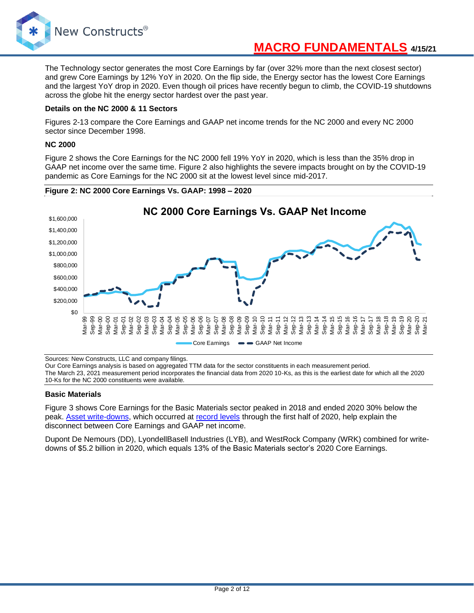

The Technology sector generates the most Core Earnings by far (over 32% more than the next closest sector) and grew Core Earnings by 12% YoY in 2020. On the flip side, the Energy sector has the lowest Core Earnings and the largest YoY drop in 2020. Even though oil prices have recently begun to climb, the COVID-19 shutdowns across the globe hit the energy sector hardest over the past year.

## **Details on the NC 2000 & 11 Sectors**

Figures 2-13 compare the Core Earnings and GAAP net income trends for the NC 2000 and every NC 2000 sector since December 1998.

## **NC 2000**

Figure 2 shows the Core Earnings for the NC 2000 fell 19% YoY in 2020, which is less than the 35% drop in GAAP net income over the same time. Figure 2 also highlights the severe impacts brought on by the COVID-19 pandemic as Core Earnings for the NC 2000 sit at the lowest level since mid-2017.





Sources: New Constructs, LLC and company filings.

Our Core Earnings analysis is based on aggregated TTM data for the sector constituents in each measurement period.

The March 23, 2021 measurement period incorporates the financial data from 2020 10-Ks, as this is the earliest date for which all the 2020 10-Ks for the NC 2000 constituents were available.

#### **Basic Materials**

Figure 3 shows Core Earnings for the Basic Materials sector peaked in 2018 and ended 2020 30% below the peak. [Asset write-downs,](https://www.newconstructs.com/asset-write-downs-hidden-in-operating-earnings/) which occurred at [record levels](https://www.newconstructs.com/covid-19-drives-record-write-downs-in-1h2020/) through the first half of 2020, help explain the disconnect between Core Earnings and GAAP net income.

Dupont De Nemours (DD), LyondellBasell Industries (LYB), and WestRock Company (WRK) combined for writedowns of \$5.2 billion in 2020, which equals 13% of the Basic Materials sector's 2020 Core Earnings.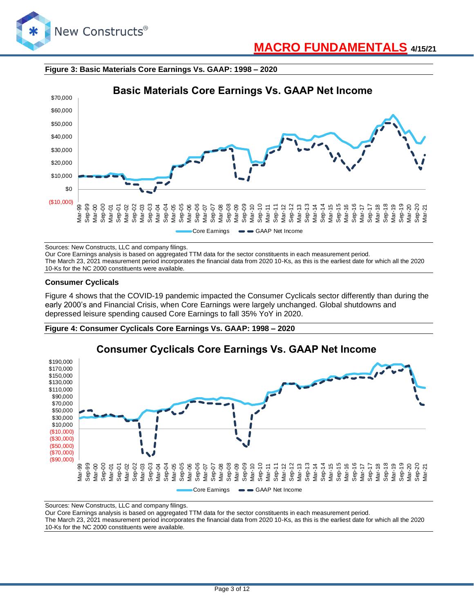

## **Figure 3: Basic Materials Core Earnings Vs. GAAP: 1998 – 2020**



Sources: New Constructs, LLC and company filings.

Our Core Earnings analysis is based on aggregated TTM data for the sector constituents in each measurement period.

The March 23, 2021 measurement period incorporates the financial data from 2020 10-Ks, as this is the earliest date for which all the 2020 10-Ks for the NC 2000 constituents were available.

## **Consumer Cyclicals**

Figure 4 shows that the COVID-19 pandemic impacted the Consumer Cyclicals sector differently than during the early 2000's and Financial Crisis, when Core Earnings were largely unchanged. Global shutdowns and depressed leisure spending caused Core Earnings to fall 35% YoY in 2020.





Sources: New Constructs, LLC and company filings.

Our Core Earnings analysis is based on aggregated TTM data for the sector constituents in each measurement period. The March 23, 2021 measurement period incorporates the financial data from 2020 10-Ks, as this is the earliest date for which all the 2020

10-Ks for the NC 2000 constituents were available.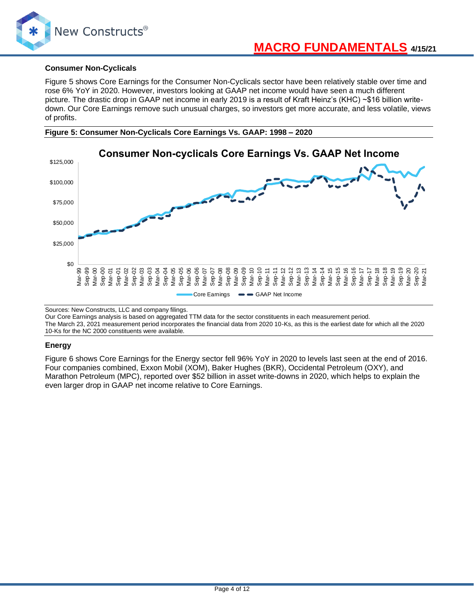

## **Consumer Non-Cyclicals**

Figure 5 shows Core Earnings for the Consumer Non-Cyclicals sector have been relatively stable over time and rose 6% YoY in 2020. However, investors looking at GAAP net income would have seen a much different picture. The drastic drop in GAAP net income in early 2019 is a result of Kraft Heinz's (KHC) ~\$16 billion writedown. Our Core Earnings remove such unusual charges, so investors get more accurate, and less volatile, views of profits.





Sources: New Constructs, LLC and company filings.

Our Core Earnings analysis is based on aggregated TTM data for the sector constituents in each measurement period. The March 23, 2021 measurement period incorporates the financial data from 2020 10-Ks, as this is the earliest date for which all the 2020 10-Ks for the NC 2000 constituents were available.

## **Energy**

Figure 6 shows Core Earnings for the Energy sector fell 96% YoY in 2020 to levels last seen at the end of 2016. Four companies combined, Exxon Mobil (XOM), Baker Hughes (BKR), Occidental Petroleum (OXY), and Marathon Petroleum (MPC), reported over \$52 billion in asset write-downs in 2020, which helps to explain the even larger drop in GAAP net income relative to Core Earnings.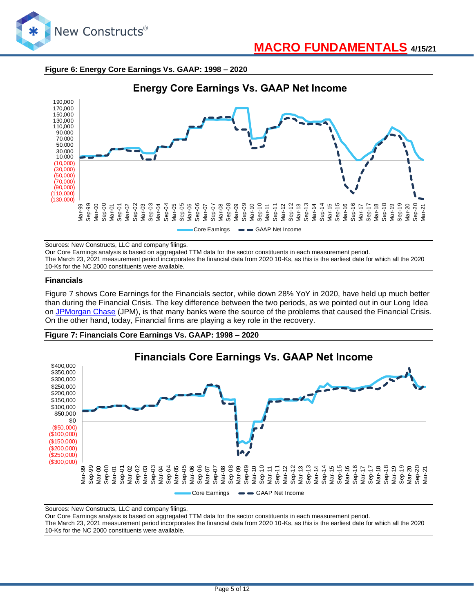

## **Figure 6: Energy Core Earnings Vs. GAAP: 1998 – 2020**



Sources: New Constructs, LLC and company filings.

Our Core Earnings analysis is based on aggregated TTM data for the sector constituents in each measurement period. The March 23, 2021 measurement period incorporates the financial data from 2020 10-Ks, as this is the earliest date for which all the 2020 10-Ks for the NC 2000 constituents were available.

#### **Financials**

Figure 7 shows Core Earnings for the Financials sector, while down 28% YoY in 2020, have held up much better than during the Financial Crisis. The key difference between the two periods, as we pointed out in our Long Idea on [JPMorgan Chase](https://www.newconstructs.com/bank-on-the-best/) (JPM), is that many banks were the source of the problems that caused the Financial Crisis. On the other hand, today, Financial firms are playing a key role in the recovery.

### **Figure 7: Financials Core Earnings Vs. GAAP: 1998 – 2020**



Sources: New Constructs, LLC and company filings.

Our Core Earnings analysis is based on aggregated TTM data for the sector constituents in each measurement period. The March 23, 2021 measurement period incorporates the financial data from 2020 10-Ks, as this is the earliest date for which all the 2020 10-Ks for the NC 2000 constituents were available.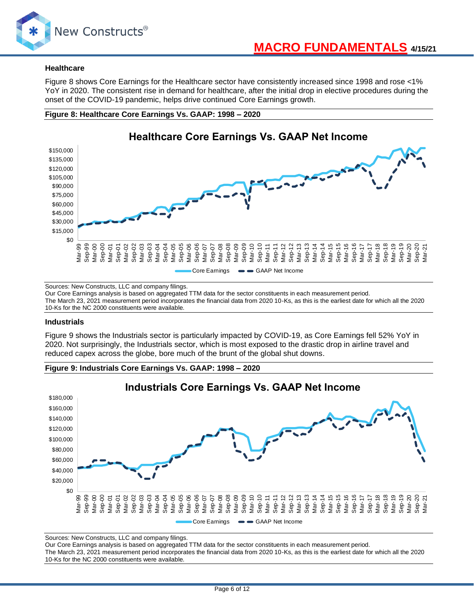

### **Healthcare**

Figure 8 shows Core Earnings for the Healthcare sector have consistently increased since 1998 and rose <1% YoY in 2020. The consistent rise in demand for healthcare, after the initial drop in elective procedures during the onset of the COVID-19 pandemic, helps drive continued Core Earnings growth.





Sources: New Constructs, LLC and company filings.

Our Core Earnings analysis is based on aggregated TTM data for the sector constituents in each measurement period. The March 23, 2021 measurement period incorporates the financial data from 2020 10-Ks, as this is the earliest date for which all the 2020 10-Ks for the NC 2000 constituents were available.

#### **Industrials**

Figure 9 shows the Industrials sector is particularly impacted by COVID-19, as Core Earnings fell 52% YoY in 2020. Not surprisingly, the Industrials sector, which is most exposed to the drastic drop in airline travel and reduced capex across the globe, bore much of the brunt of the global shut downs.

## **Figure 9: Industrials Core Earnings Vs. GAAP: 1998 – 2020**



Sources: New Constructs, LLC and company filings.

Our Core Earnings analysis is based on aggregated TTM data for the sector constituents in each measurement period.

The March 23, 2021 measurement period incorporates the financial data from 2020 10-Ks, as this is the earliest date for which all the 2020 10-Ks for the NC 2000 constituents were available.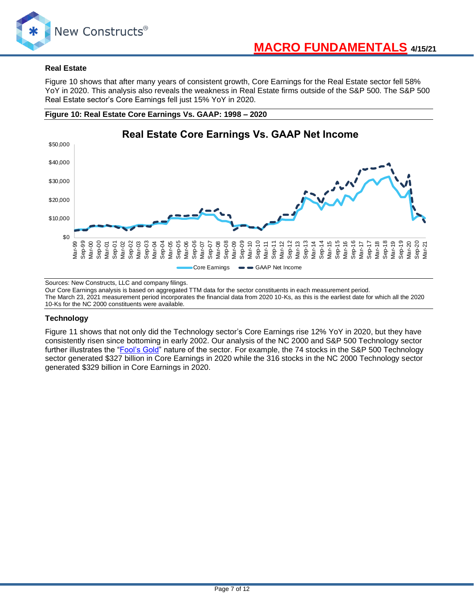

## **Real Estate**

Figure 10 shows that after many years of consistent growth, Core Earnings for the Real Estate sector fell 58% YoY in 2020. This analysis also reveals the weakness in Real Estate firms outside of the S&P 500. The S&P 500 Real Estate sector's Core Earnings fell just 15% YoY in 2020.





Sources: New Constructs, LLC and company filings.

Our Core Earnings analysis is based on aggregated TTM data for the sector constituents in each measurement period.

The March 23, 2021 measurement period incorporates the financial data from 2020 10-Ks, as this is the earliest date for which all the 2020 10-Ks for the NC 2000 constituents were available.

## **Technology**

Figure 11 shows that not only did the Technology sector's Core Earnings rise 12% YoY in 2020, but they have consistently risen since bottoming in early 2002. Our analysis of the NC 2000 and S&P 500 Technology sector further illustrates the ["Fool's Gold"](https://www.newconstructs.com/dont-buy-fools-gold/) nature of the sector. For example, the 74 stocks in the S&P 500 Technology sector generated \$327 billion in Core Earnings in 2020 while the 316 stocks in the NC 2000 Technology sector generated \$329 billion in Core Earnings in 2020.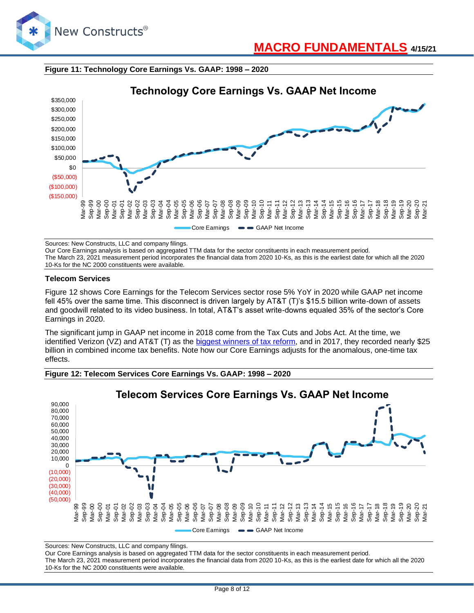





Sources: New Constructs, LLC and company filings.

Our Core Earnings analysis is based on aggregated TTM data for the sector constituents in each measurement period. The March 23, 2021 measurement period incorporates the financial data from 2020 10-Ks, as this is the earliest date for which all the 2020 10-Ks for the NC 2000 constituents were available.

#### **Telecom Services**

Figure 12 shows Core Earnings for the Telecom Services sector rose 5% YoY in 2020 while GAAP net income fell 45% over the same time. This disconnect is driven largely by AT&T (T)'s \$15.5 billion write-down of assets and goodwill related to its video business. In total, AT&T's asset write-downs equaled 35% of the sector's Core Earnings in 2020.

The significant jump in GAAP net income in 2018 come from the Tax Cuts and Jobs Act. At the time, we identified Verizon (VZ) and AT&T (T) as the [biggest winners of tax reform,](https://www.newconstructs.com/tax-reform-winners-companies-with-deferred-tax-liabilities/) and in 2017, they recorded nearly \$25 billion in combined income tax benefits. Note how our Core Earnings adjusts for the anomalous, one-time tax effects.



**Figure 12: Telecom Services Core Earnings Vs. GAAP: 1998 – 2020**

Sources: New Constructs, LLC and company filings.

Our Core Earnings analysis is based on aggregated TTM data for the sector constituents in each measurement period.

The March 23, 2021 measurement period incorporates the financial data from 2020 10-Ks, as this is the earliest date for which all the 2020 10-Ks for the NC 2000 constituents were available.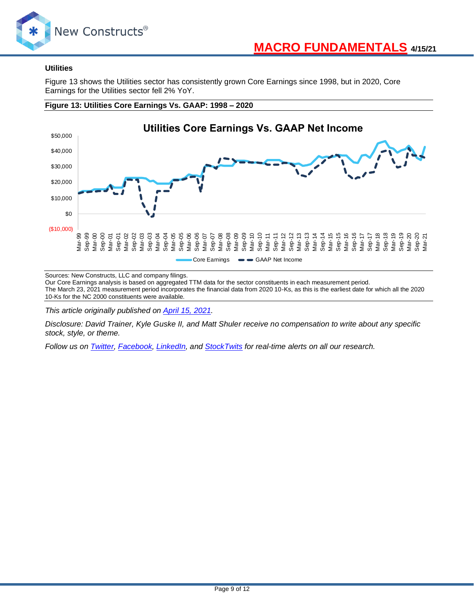

## **Utilities**

Figure 13 shows the Utilities sector has consistently grown Core Earnings since 1998, but in 2020, Core Earnings for the Utilities sector fell 2% YoY.



## **Figure 13: Utilities Core Earnings Vs. GAAP: 1998 – 2020**

Sources: New Constructs, LLC and company filings.

Our Core Earnings analysis is based on aggregated TTM data for the sector constituents in each measurement period. The March 23, 2021 measurement period incorporates the financial data from 2020 10-Ks, as this is the earliest date for which all the 2020 10-Ks for the NC 2000 constituents were available.

*This article originally published on [April 15, 2021.](https://www.newconstructs.com/all-cap-index-sectors-core-earnings-vs-gaap-net-income-through-4q20/)*

*Disclosure: David Trainer, Kyle Guske II, and Matt Shuler receive no compensation to write about any specific stock, style, or theme.*

*Follow us on [Twitter,](https://twitter.com/NewConstructs) [Facebook,](https://www.facebook.com/newconstructsllc/) [LinkedIn,](https://www.linkedin.com/company/new-constructs) and [StockTwits](https://stocktwits.com/dtrainer_NewConstructs) for real-time alerts on all our research.*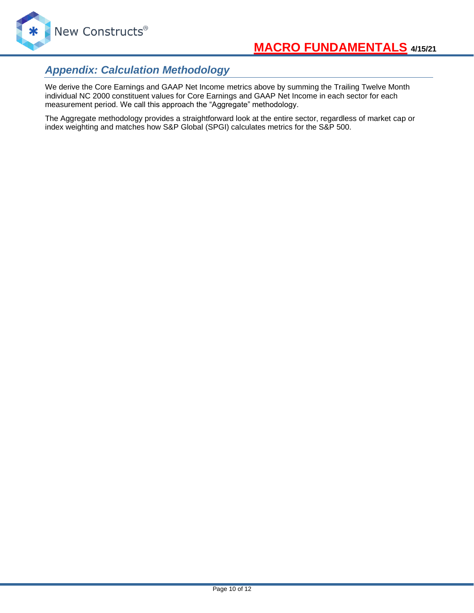

## *Appendix: Calculation Methodology*

We derive the Core Earnings and GAAP Net Income metrics above by summing the Trailing Twelve Month individual NC 2000 constituent values for Core Earnings and GAAP Net Income in each sector for each measurement period. We call this approach the "Aggregate" methodology.

The Aggregate methodology provides a straightforward look at the entire sector, regardless of market cap or index weighting and matches how S&P Global (SPGI) calculates metrics for the S&P 500.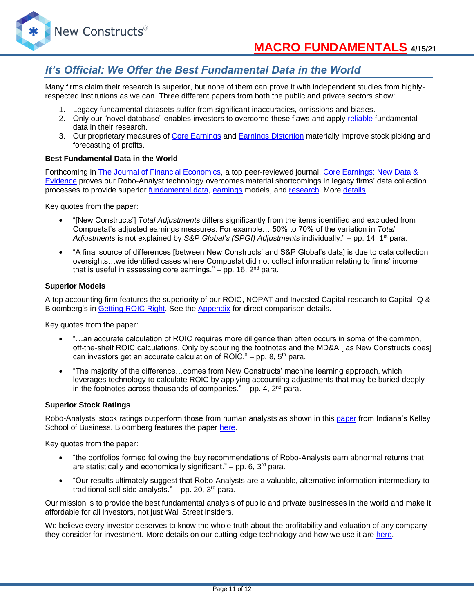## *It's Official: We Offer the Best Fundamental Data in the World*

Many firms claim their research is superior, but none of them can prove it with independent studies from highlyrespected institutions as we can. Three different papers from both the public and private sectors show:

- 1. Legacy fundamental datasets suffer from significant inaccuracies, omissions and biases.
- 2. Only our "novel database" enables investors to overcome these flaws and apply [reliable](https://www.newconstructs.com/evidence-on-the-superiority-of-our-earnings-data/) fundamental data in their research.
- 3. Our proprietary measures of [Core Earnings](https://www.newconstructs.com/education-core-earnings-earnings-distortion/) and [Earnings Distortion](https://www.newconstructs.com/earnings-distortion-score-methodology/) materially improve stock picking and forecasting of profits.

## **Best Fundamental Data in the World**

Forthcoming in [The Journal of Financial Economics,](http://jfe.rochester.edu/) a top peer-reviewed journal, [Core Earnings: New Data &](https://papers.ssrn.com/sol3/papers.cfm?abstract_id=3467814)  [Evidence](https://papers.ssrn.com/sol3/papers.cfm?abstract_id=3467814) proves our Robo-Analyst technology overcomes material shortcomings in legacy firms' data collection processes to provide superior [fundamental data,](https://www.newconstructs.com/data/) [earnings](https://www.newconstructs.com/education-core-earnings-earnings-distortion/) models, and [research.](https://www.newconstructs.com/blog/) More [details.](https://www.newconstructs.com/evidence-on-the-superiority-of-our-earnings-data/)

Key quotes from the paper:

- "[New Constructs'] *Total Adjustments* differs significantly from the items identified and excluded from Compustat's adjusted earnings measures. For example… 50% to 70% of the variation in *Total Adjustments* is not explained by *S&P Global's (SPGI) Adjustments* individually." – pp. 14, 1st para.
- "A final source of differences [between New Constructs' and S&P Global's data] is due to data collection oversights…we identified cases where Compustat did not collect information relating to firms' income that is useful in assessing core earnings."  $-$  pp. 16,  $2<sup>nd</sup>$  para.

## **Superior Models**

A top accounting firm features the superiority of our ROIC, NOPAT and Invested Capital research to Capital IQ & Bloomberg's in [Getting](https://www.newconstructs.com/getting-roic-right/) ROIC Right. See the [Appendix](https://www.newconstructs.com/wp-content/uploads/2019/06/Getting-ROIC-Right.pdf) for direct comparison details.

Key quotes from the paper:

- "...an accurate calculation of ROIC requires more diligence than often occurs in some of the common, off-the-shelf ROIC calculations. Only by scouring the footnotes and the MD&A [ as New Constructs does] can investors get an accurate calculation of ROIC." – pp. 8,  $5<sup>th</sup>$  para.
- "The majority of the difference…comes from New Constructs' machine learning approach, which leverages technology to calculate ROIC by applying accounting adjustments that may be buried deeply in the footnotes across thousands of companies."  $-$  pp. 4,  $2<sup>nd</sup>$  para.

## **Superior Stock Ratings**

Robo-Analysts' stock ratings outperform those from human analysts as shown in this [paper](https://papers.ssrn.com/sol3/papers.cfm?abstract_id=3514879) from Indiana's Kelley School of Business. Bloomberg features the paper [here.](https://www.bloomberg.com/news/articles/2020-02-11/robot-analysts-outwit-humans-in-study-of-profit-from-stock-calls?sref=zw7RLDfe)

Key quotes from the paper:

- "the portfolios formed following the buy recommendations of Robo-Analysts earn abnormal returns that are statistically and economically significant."  $-$  pp. 6, 3<sup>rd</sup> para.
- "Our results ultimately suggest that Robo-Analysts are a valuable, alternative information intermediary to traditional sell-side analysts."  $-$  pp. 20, 3<sup>rd</sup> para.

Our mission is to provide the best fundamental analysis of public and private businesses in the world and make it affordable for all investors, not just Wall Street insiders.

We believe every investor deserves to know the whole truth about the profitability and valuation of any company they consider for investment. More details on our cutting-edge technology and how we use it are [here.](https://www.youtube.com/watch?v=wRUr5w4zDVA)